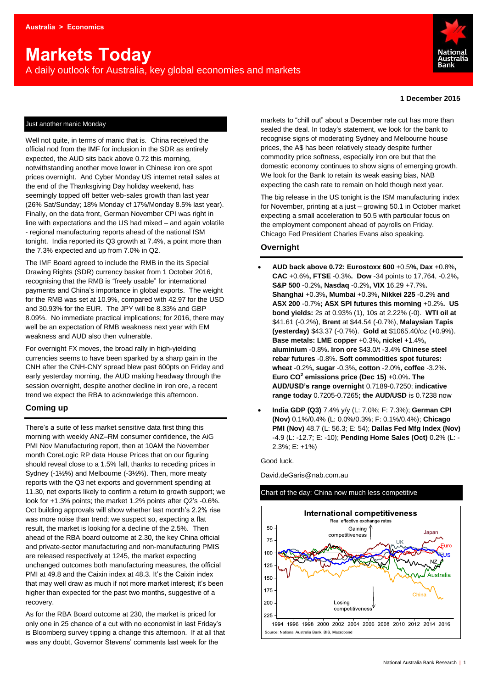# **Markets Today**

A daily outlook for Australia, key global economies and markets



#### **1 December 2015**

# Just another manic Monday

Well not quite, in terms of manic that is. China received the official nod from the IMF for inclusion in the SDR as entirely expected, the AUD sits back above 0.72 this morning, notwithstanding another move lower in Chinese iron ore spot prices overnight. And Cyber Monday US internet retail sales at the end of the Thanksgiving Day holiday weekend, has seemingly topped off better web-sales growth than last year (26% Sat/Sunday; 18% Monday cf 17%/Monday 8.5% last year). Finally, on the data front, German November CPI was right in line with expectations and the US had mixed – and again volatile - regional manufacturing reports ahead of the national ISM tonight. India reported its Q3 growth at 7.4%, a point more than the 7.3% expected and up from 7.0% in Q2.

The IMF Board agreed to include the RMB in the its Special Drawing Rights (SDR) currency basket from 1 October 2016, recognising that the RMB is "freely usable" for international payments and China's importance in global exports. The weight for the RMB was set at 10.9%, compared with 42.97 for the USD and 30.93% for the EUR. The JPY will be 8.33% and GBP 8.09%. No immediate practical implications; for 2016, there may well be an expectation of RMB weakness next year with EM weakness and AUD also then vulnerable.

For overnight FX moves, the broad rally in high-yielding currencies seems to have been sparked by a sharp gain in the CNH after the CNH-CNY spread blew past 600pts on Friday and early yesterday morning, the AUD making headway through the session overnight, despite another decline in iron ore, a recent trend we expect the RBA to acknowledge this afternoon.

# **Coming up**

There's a suite of less market sensitive data first thing this morning with weekly ANZ–RM consumer confidence, the AiG PMI Nov Manufacturing report, then at 10AM the November month CoreLogic RP data House Prices that on our figuring should reveal close to a 1.5% fall, thanks to receding prices in Sydney (-1½%) and Melbourne (-3½%). Then, more meaty reports with the Q3 net exports and government spending at 11.30, net exports likely to confirm a return to growth support; we look for +1.3% points; the market 1.2% points after Q2's -0.6%. Oct building approvals will show whether last month's 2.2% rise was more noise than trend; we suspect so, expecting a flat result, the market is looking for a decline of the 2.5%. Then ahead of the RBA board outcome at 2.30, the key China official and private-sector manufacturing and non-manufacturing PMIS are released respectively at 1245, the market expecting unchanged outcomes both manufacturing measures, the official PMI at 49.8 and the Caixin index at 48.3. It's the Caixin index that may well draw as much if not more market interest; it's been higher than expected for the past two months, suggestive of a recovery.

As for the RBA Board outcome at 230, the market is priced for only one in 25 chance of a cut with no economist in last Friday's is Bloomberg survey tipping a change this afternoon. If at all that was any doubt, Governor Stevens' comments last week for the

markets to "chill out" about a December rate cut has more than sealed the deal. In today's statement, we look for the bank to recognise signs of moderating Sydney and Melbourne house prices, the A\$ has been relatively steady despite further commodity price softness, especially iron ore but that the domestic economy continues to show signs of emerging growth. We look for the Bank to retain its weak easing bias, NAB expecting the cash rate to remain on hold though next year.

The big release in the US tonight is the ISM manufacturing index for November, printing at a just – growing 50.1 in October market expecting a small acceleration to 50.5 with particular focus on the employment component ahead of payrolls on Friday. Chicago Fed President Charles Evans also speaking.

# **Overnight**

- **AUD back above 0.72: Eurostoxx 600** +0.5**%, Dax** +0.8%**, CAC** +0.6%**, FTSE** -0.3%**. Dow** -34 points to 17,764, -0.2%**, S&P 500** -0.2%**, Nasdaq** -0.2%**, VIX** 16.29 +7.7%**. Shanghai** +0.3%**, Mumbai** +0.3%**, Nikkei 225** -0.2% **and ASX 200** -0.7%**; ASX SPI futures this morning** +0.2%**. US bond yields:** 2s at 0.93% (1), 10s at 2.22% (-0). **WTI oil at**  \$41.61 (-0.2%), **Brent** at \$44.54 (-0.7%), **Malaysian Tapis (yesterday)** \$43.37 (-0.7%). **Gold at** \$1065.40/oz (+0.9%). **Base metals: LME copper** +0.3%**, nickel** +1.4%**, aluminium** -0.8%**. Iron ore** \$43.0/t -3.4% **Chinese steel rebar futures** -0.8%**. Soft commodities spot futures: wheat** -0.2%**, sugar** -0.3%**, cotton** -2.0%**, coffee** -3.2%**. Euro CO 2 emissions price (Dec 15)** +0.0%**. The AUD/USD's range overnight** 0.7189-0.7250; **indicative range today** 0.7205-0.7265**; the AUD/USD** is 0.7238 now
- **India GDP (Q3)** 7.4% y/y (L: 7.0%; F: 7.3%); **German CPI (Nov)** 0.1%/0.4% (L: 0.0%/0.3%; F: 0.1%/0.4%); **Chicago PMI (Nov)** 48.7 (L: 56.3; E: 54); **Dallas Fed Mfg Index (Nov)** -4.9 (L: -12.7; E: -10); **Pending Home Sales (Oct)** 0.2% (L: - 2.3%; E: +1%)

Good luck.

David.deGaris@nab.com.au



#### Chart of the day: China now much less competitive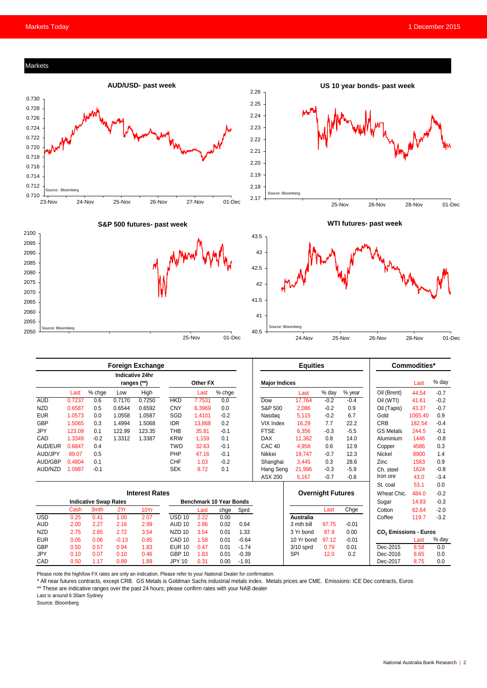

|                              | <b>Foreign Exchange</b> |        |         |                                       |                                |          |        | <b>Equities</b> |                      |             |                          | <b>Commodities*</b> |                                   |         |        |
|------------------------------|-------------------------|--------|---------|---------------------------------------|--------------------------------|----------|--------|-----------------|----------------------|-------------|--------------------------|---------------------|-----------------------------------|---------|--------|
|                              |                         |        |         | <b>Indicative 24hr</b><br>ranges (**) |                                | Other FX |        |                 | <b>Major Indices</b> |             |                          |                     |                                   | Last    | % day  |
|                              | Last                    | % chge | Low     | High                                  |                                | Last     | % chge |                 |                      | Last        | % day                    | % year              | Oil (Brent)                       | 44.54   | $-0.7$ |
| <b>AUD</b>                   | 0.7237                  | 0.6    | 0.7170  | 0.7250                                | <b>HKD</b>                     | 7.7531   | 0.0    |                 | Dow                  | 17,764      | $-0.2$                   | $-0.4$              | Oil (WTI)                         | 41.61   | $-0.2$ |
| <b>NZD</b>                   | 0.6587                  | 0.5    | 0.6544  | 0.6592                                | CNY                            | 6.3969   | 0.0    |                 | S&P 500              | 2,086       | $-0.2$                   | 0.9                 | Oil (Tapis)                       | 43.37   | $-0.7$ |
| <b>EUR</b>                   | 1.0573                  | 0.0    | 1.0558  | 1.0587                                | SGD                            | 1.4101   | $-0.2$ |                 | Nasdag               | 5,115       | $-0.2$                   | 6.7                 | Gold                              | 1065.40 | 0.9    |
| <b>GBP</b>                   | 1.5065                  | 0.3    | 1.4994  | 1.5068                                | <b>IDR</b>                     | 13,868   | 0.2    |                 | <b>VIX Index</b>     | 16.29       | 7.7                      | 22.2                | <b>CRB</b>                        | 182.54  | $-0.4$ |
| JPY                          | 123.09                  | 0.1    | 122.99  | 123.35                                | <b>THB</b>                     | 35.81    | $-0.1$ |                 | <b>FTSE</b>          | 6,356       | $-0.3$                   | $-5.5$              | <b>GS Metals</b>                  | 244.5   | $-0.1$ |
| CAD                          | 1.3349                  | $-0.2$ | 1.3312  | 1.3387                                | <b>KRW</b>                     | 1.159    | 0.1    |                 | <b>DAX</b>           | 11.382      | 0.8                      | 14.0                | Aluminium                         | 1446    | $-0.8$ |
| AUD/EUR                      | 0.6847                  | 0.4    |         |                                       | <b>TWD</b>                     | 32.63    | $-0.1$ |                 | CAC <sub>40</sub>    | 4,958       | 0.6                      | 12.9                | Copper                            | 4586    | 0.3    |
| AUD/JPY                      | 89.07                   | 0.5    |         |                                       | PHP                            | 47.16    | $-0.1$ |                 | Nikkei               | 19,747      | $-0.7$                   | 12.3                | Nickel                            | 8900    | 1.4    |
| AUD/GBP                      | 0.4804                  | 0.1    |         |                                       | CHF                            | 1.03     | $-0.2$ |                 | Shanghai             | 3,445       | 0.3                      | 28.6                | Zinc                              | 1563    | 0.9    |
| AUD/NZD                      | 1.0987                  | $-0.1$ |         |                                       | <b>SEK</b>                     | 8.72     | 0.1    |                 | Hang Seng            | 21,996      | $-0.3$                   | $-5.9$              | Ch. steel                         | 1624    | $-0.8$ |
|                              |                         |        |         |                                       |                                |          |        |                 | ASX 200              | 5.167       | $-0.7$                   | $-0.8$              | Iron ore                          | 43.0    | $-3.4$ |
|                              |                         |        |         |                                       |                                |          |        |                 |                      |             |                          |                     | St. coal                          | 53.1    | 0.0    |
| <b>Interest Rates</b>        |                         |        |         |                                       |                                |          |        |                 |                      |             | <b>Overnight Futures</b> |                     | Wheat Chic.                       | 484.0   | $-0.2$ |
| <b>Indicative Swap Rates</b> |                         |        |         |                                       | <b>Benchmark 10 Year Bonds</b> |          |        |                 |                      |             |                          |                     | Sugar                             | 14.93   | $-0.3$ |
|                              | Cash                    | 3mth   | 2Yr     | 10Yr                                  |                                | Last     | chge   | Sprd            |                      |             | Last                     | Chge                | Cotton                            | 62.64   | $-2.0$ |
| <b>USD</b>                   | 0.25                    | 0.41   | 1.00    | 2.07                                  | USD <sub>10</sub>              | 2.22     | 0.00   |                 |                      | Australia   |                          |                     | Coffee                            | 119.7   | $-3.2$ |
| <b>AUD</b>                   | 2.00                    | 2.27   | 2.16    | 2.99                                  | <b>AUD 10</b>                  | 2.86     | 0.02   | 0.64            |                      | 3 mth bill  | 97.75                    | $-0.01$             |                                   |         |        |
| <b>NZD</b>                   | 2.75                    | 2.85   | 2.72    | 3.54                                  | NZD <sub>10</sub>              | 3.54     | 0.01   | 1.33            |                      | 3 Yr bond   | 97.9                     | 0.00                | CO <sub>2</sub> Emissions - Euros |         |        |
| <b>EUR</b>                   | 0.05                    | 0.06   | $-0.13$ | 0.85                                  | CAD <sub>10</sub>              | 1.58     | 0.01   | $-0.64$         |                      | 10 Yr bond  | 97.12                    | $-0.01$             |                                   | Last    | % day  |
| <b>GBP</b>                   | 0.50                    | 0.57   | 0.94    | 1.83                                  | <b>EUR 10</b>                  | 0.47     | 0.01   | $-1.74$         |                      | $3/10$ sprd | 0.79                     | 0.01                | Dec-2015                          | 8.58    | 0.0    |
| JPY                          | 0.10                    | 0.07   | 0.10    | 0.46                                  | <b>GBP 10</b>                  | 1.83     | 0.01   | $-0.39$         |                      | <b>SPI</b>  | 12.0                     | 0.2                 | Dec-2016                          | 8.65    | 0.0    |
| CAD                          | 0.50                    | 1.17   | 0.89    | 1.89                                  | <b>JPY 10</b>                  | 0.31     | 0.00   | $-1.91$         |                      |             |                          |                     | Dec-2017                          | 8.75    | 0.0    |

Please note the high/low FX rates are only an indication. Please refer to your National Dealer for confirmation.

\* All near futures contracts, except CRB. GS Metals is Goldman Sachs industrial metals index. Metals prices are CME. Emissions: ICE Dec contracts, Euros

\*\* These are indicative ranges over the past 24 hours; please confirm rates with your NAB dealer

Last is around 6:30am Sydney

Source: Bloomberg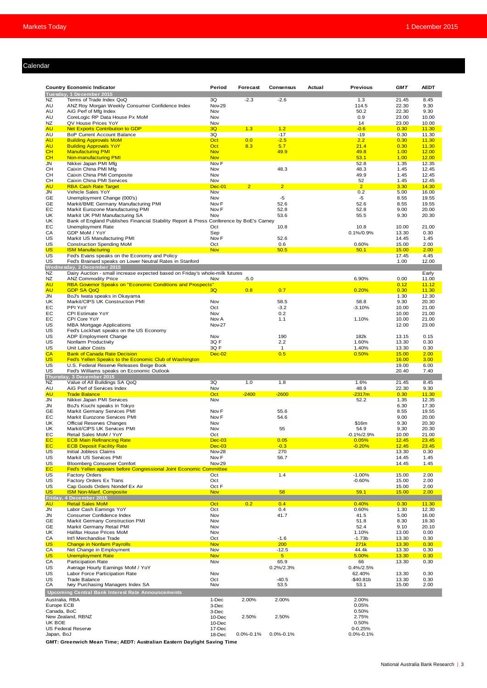# Calendar

|        | <b>Country Economic Indicator</b><br>Tuesday, 1 December 2015                           | Period                     | <b>Forecast</b> | Consensus              | Actual | <b>Previous</b>      | <b>GMT</b>     | <b>AEDT</b>    |
|--------|-----------------------------------------------------------------------------------------|----------------------------|-----------------|------------------------|--------|----------------------|----------------|----------------|
| AU     | Terms of Trade Index QoQ                                                                | 3Q                         | $-2.3$          | $-2.6$                 |        | 1.3                  | 21.45          | 8.45           |
|        | ANZ Roy Morgan Weekly Consumer Confidence Index                                         | Nov-29                     |                 |                        |        | 114.5                | 22.30          | 9.30           |
|        | AiG Perf of Mfa Index                                                                   | Nov                        |                 |                        |        | 50.2                 | 22.30          | 9.30           |
|        | CoreLogic RP Data House Px MoM                                                          | Nov                        |                 |                        |        | 0.9                  | 23.00          | 10.00          |
|        | QV House Prices YoY<br><b>Net Exports Contribution to GDP</b>                           | Nov<br>3Q                  | 1.3             | 1.2                    |        | 14<br>$-0.6$         | 23.00<br>0.30  | 10.00<br>11.30 |
|        | BoP Current Account Balance                                                             | 3Q                         |                 | $-17$                  |        | $-19$                | 0.30           | 11.30          |
|        | <b>Building Approvals MoM</b>                                                           | Oct                        | 0.0             | $-2.5$                 |        | 2.2                  | 0.30           | 11.30          |
|        | <b>Building Approvals YoY</b>                                                           | Oct                        | 8.3             | 5.7                    |        | 21.4                 | 0.30           | 11.30          |
|        | <b>Manufacturing PMI</b>                                                                | <b>Nov</b>                 |                 | 49.9                   |        | 49.8                 | 1.00           | 12.00          |
|        | Non-manufacturing PMI                                                                   | <b>Nov</b>                 |                 |                        |        | 53.1                 | 1.00           | 12.00          |
|        | Nikkei Japan PMI Mfg                                                                    | Nov <sub>F</sub>           |                 |                        |        | 52.8                 | 1.35           | 12.35          |
|        | Caixin China PMI Mfg                                                                    | Nov                        |                 | 48.3                   |        | 48.3                 | 1.45           | 12.45          |
|        | Caixin China PMI Composite                                                              | Nov                        |                 |                        |        | 49.9                 | 1.45           | 12.45          |
|        | Caixin China PMI Services                                                               | Nov                        |                 |                        |        | 52                   | 1.45           | 12.45          |
|        | <b>RBA Cash Rate Target</b>                                                             | <b>Dec-01</b>              | $\overline{2}$  | $\overline{2}$         |        | $\overline{2}$       | 3.30           | 14.30          |
|        | Vehicle Sales YoY                                                                       | Nov                        |                 |                        |        | 0.2                  | 5.00           | 16.00          |
|        | Unemployment Change (000's)                                                             | Nov                        |                 | -5                     |        | $-5$                 | 8.55           | 19.55          |
|        | Markit/BME Germany Manufacturing PMI                                                    | Nov <sub>F</sub>           |                 | 52.6                   |        | 52.6                 | 8.55           | 19.55          |
|        | Markit Eurozone Manufacturing PMI                                                       | Nov <sub>F</sub>           |                 | 52.8                   |        | 52.8                 | 9.00           | 20.00          |
|        | Markit UK PMI Manufacturing SA                                                          | Nov                        |                 | 53.6                   |        | 55.5                 | 9.30           | 20.30          |
|        | Bank of England Publishes Financial Stability Report & Press Conference by BoE's Carney |                            |                 |                        |        |                      |                |                |
|        | Unemployment Rate                                                                       | Oct                        |                 | 10.8                   |        | 10.8                 | 10.00          | 21.00          |
|        | GDP MoM / YoY                                                                           | Sep                        |                 |                        |        | 0.1%/0.9%            | 13.30          | 0.30           |
|        | Markit US Manufacturing PMI                                                             | Nov <sub>F</sub><br>Oct    |                 | 52.6<br>0.6            |        | 0.60%                | 14.45<br>15.00 | 1.45<br>2.00   |
|        | <b>Construction Spending MoM</b><br><b>ISM Manufacturing</b>                            | <b>Nov</b>                 |                 | 50.5                   |        | 50.1                 | 15.00          | 2.00           |
|        | Fed's Evans speaks on the Economy and Policy                                            |                            |                 |                        |        |                      | 17.45          | 4.45           |
|        | Fed's Brainard speaks on Lower Neutral Rates in Stanford                                |                            |                 |                        |        |                      | 1.00           | 12.00          |
|        | <b>Wednesday, 2 December 2015</b>                                                       |                            |                 |                        |        |                      |                |                |
|        | Dairy Auction - small increase expected based on Friday's whole-milk futures            |                            |                 |                        |        |                      |                | Early          |
|        | <b>ANZ Commodity Price</b>                                                              | Nov                        | $-5.0$          |                        |        | 6.90%                | 0.00           | 11.00          |
|        | RBA Governor Speaks on "Economic Conditions and Prospects"                              |                            |                 |                        |        |                      | 0.12           | 11.12          |
|        | <b>GDP SA QoQ</b>                                                                       | 3Q                         | 0.8             | 0.7                    |        | 0.20%                | 0.30           | 11.30          |
|        | BoJ's Iwata speaks in Okayama                                                           |                            |                 |                        |        |                      | 1.30           | 12.30          |
|        | Markit/CIPS UK Construction PMI                                                         | Nov                        |                 | 58.5                   |        | 58.8                 | 9.30           | 20.30          |
|        | PPI YoY                                                                                 | Oct                        |                 | $-3.2$                 |        | $-3.10%$             | 10.00          | 21.00          |
|        | CPI Estimate YoY                                                                        | Nov                        |                 | 0.2                    |        |                      | 10.00          | 21.00          |
|        | CPI Core YoY                                                                            | Nov A                      |                 | 1.1                    |        | 1.10%                | 10.00          | 21.00          |
|        | <b>MBA Mortgage Applications</b>                                                        | <b>Nov-27</b>              |                 |                        |        |                      | 12.00          | 23.00          |
|        | Fed's Lockhart speaks on the US Economy                                                 |                            |                 |                        |        |                      |                |                |
|        | ADP Employment Change                                                                   | Nov                        |                 | 190                    |        | 182k                 | 13.15          | 0.15           |
|        | Nonfarm Productivity                                                                    | 3Q F                       |                 | 2.2                    |        | 1.60%                | 13.30          | 0.30           |
|        | Unit Labor Costs<br><b>Bank of Canada Rate Decision</b>                                 | 3Q F<br><b>Dec-02</b>      |                 | 1<br>0.5               |        | 1.40%<br>0.50%       | 13.30<br>15.00 | 0.30<br>2.00   |
|        | Fed's Yellen Speaks to the Economic Club of Washington                                  |                            |                 |                        |        |                      | 16.00          | 3.00           |
|        | U.S. Federal Reserve Releases Beige Book                                                |                            |                 |                        |        |                      | 19.00          | 6.00           |
|        | Fed's Williams speaks on Economic Outlook                                               |                            |                 |                        |        |                      | 20.40          | 7.40           |
|        | Thursday, 3 December 2015                                                               |                            |                 |                        |        |                      |                |                |
|        | Value of All Buildings SA QoQ                                                           | 3Q                         | 1.0             | 1.8                    |        | 1.6%                 | 21.45          | 8.45           |
|        | AiG Perf of Services Index                                                              | Nov                        |                 |                        |        | 48.9                 | 22.30          | 9.30           |
|        | <b>Trade Balance</b>                                                                    | Oct                        | $-2400$         | $-2600$                |        | $-2317m$             | 0.30           | 11.30          |
|        | Nikkei Japan PMI Services                                                               | Nov                        |                 |                        |        | 52.2                 | 1.35           | 12.35          |
|        | BoJ's Kiuchi speaks in Tokyo                                                            |                            |                 |                        |        |                      | 6.30           | 17.30          |
|        | Markit Germany Services PMI                                                             | Nov F                      |                 | 55.6                   |        |                      | 8.55           | 19.55          |
|        | Markit Eurozone Services PMI                                                            | Nov <sub>F</sub>           |                 | 54.6                   |        |                      | 9.00           | 20.00          |
|        | Official Reserves Changes                                                               | Nov                        |                 |                        |        | \$16m                | 9.30           | 20.30          |
|        | Markit/CIPS UK Services PMI                                                             | Nov                        |                 | 55                     |        | 54.9                 | 9.30           | 20.30          |
|        | Retail Sales MoM / YoY                                                                  | Oct                        |                 |                        |        | $-0.1\%/2.9\%$       | 10.00          | 21.00          |
|        | <b>ECB Main Refinancing Rate</b>                                                        | $Dec-03$                   |                 | 0.05                   |        | 0.05%                | 12.45          | 23.45          |
|        | <b>ECB Deposit Facility Rate</b>                                                        | <b>Dec-03</b>              |                 | $-0.3$                 |        | $-0.20%$             | 12.45          | 23.45          |
|        | Initial Jobless Claims<br>Markit US Services PMI                                        | Nov-28<br>Nov <sub>F</sub> |                 | 270                    |        |                      | 13.30          | 0.30           |
|        | <b>Bloomberg Consumer Comfort</b>                                                       | Nov-29                     |                 | 56.7                   |        |                      | 14.45<br>14.45 | 1.45<br>1.45   |
|        | Fed's Yellen appears before Congressional Joint Economic Committee                      |                            |                 |                        |        |                      |                |                |
|        | <b>Factory Orders</b>                                                                   | Oct                        |                 | 1.4                    |        | $-1.00%$             | 15.00          | 2.00           |
|        | Factory Orders Ex Trans                                                                 | Oct                        |                 |                        |        | $-0.60%$             | 15.00          | 2.00           |
|        | Cap Goods Orders Nondef Ex Air                                                          | Oct F                      |                 |                        |        |                      | 15.00          | 2.00           |
|        | <b>ISM Non-Manf. Composite</b>                                                          | <b>Nov</b>                 |                 | 58                     |        | 59.1                 | 15.00          | 2.00           |
|        | Friday, 4 December 2015                                                                 |                            |                 |                        |        |                      |                |                |
|        | <b>Retail Sales MoM</b>                                                                 | Oct                        | 0.2             | 0.4                    |        | 0.40%                | 0.30           | 11.30          |
|        | Labor Cash Earnings YoY                                                                 | Oct                        |                 | 0.4                    |        | 0.60%                | 1.30           | 12.30          |
|        | Consumer Confidence Index                                                               | Nov                        |                 | 41.7                   |        | 41.5                 | 5.00           | 16.00          |
|        | Markit Germany Construction PMI                                                         | Nov                        |                 |                        |        | 51.8                 | 8.30           | 19.30          |
|        | Markit Germany Retail PMI                                                               | Nov                        |                 |                        |        | 52.4                 | 9.10           | 20.10          |
|        | Halifax House Prices MoM                                                                | Nov                        |                 |                        |        | 1.10%                | 13.00          | 0.00           |
|        | Int'l Merchandise Trade                                                                 | Oct                        |                 | $-1.6$                 |        | $-1.73b$             | 13.30          | 0.30           |
|        | <b>Change in Nonfarm Payrolls</b>                                                       | <b>Nov</b>                 |                 | 200                    |        | 271k                 | 13.30          | 0.30           |
|        | Net Change in Employment                                                                | Nov                        |                 | $-12.5$                |        | 44.4k                | 13.30          | 0.30           |
|        | <b>Unemployment Rate</b>                                                                | <b>Nov</b>                 |                 | 5 <sub>5</sub><br>65.9 |        | 5.00%<br>66          | 13.30          | 0.30           |
|        | <b>Participation Rate</b>                                                               | Nov                        |                 |                        |        |                      | 13.30          | 0.30           |
|        |                                                                                         | Nov                        |                 | 0.2%/2.3%              |        | 0.4%/2.5%<br>62.40%  | 13.30          | 0.30           |
|        | Average Hourly Earnings MoM / YoY                                                       |                            |                 | $-40.5$                |        | $-$40.81b$           | 13.30          | 0.30           |
|        | Labor Force Participation Rate                                                          |                            |                 | 53.5                   |        | 53.1                 | 15.00          | 2.00           |
|        | <b>Trade Balance</b>                                                                    | Oct                        |                 |                        |        |                      |                |                |
|        | Ivey Purchasing Managers Index SA                                                       | Nov                        |                 |                        |        |                      |                |                |
|        | <b>Upcoming Central Bank Interest Rate Announcements</b>                                |                            |                 |                        |        |                      |                |                |
|        | Australia, RBA                                                                          | 1-Dec                      | 2.00%           | 2.00%                  |        | 2.00%                |                |                |
|        | Europe ECB                                                                              | 3-Dec                      |                 |                        |        | 0.05%                |                |                |
|        | Canada, BoC                                                                             | 3-Dec                      |                 |                        |        | 0.50%                |                |                |
|        | New Zealand, RBNZ                                                                       | 10-Dec                     | 2.50%           | 2.50%                  |        | 2.75%                |                |                |
| UK BOE | <b>US Federal Reserve</b>                                                               | 10-Dec<br>17-Dec           |                 |                        |        | 0.50%<br>$0 - 0.25%$ |                |                |